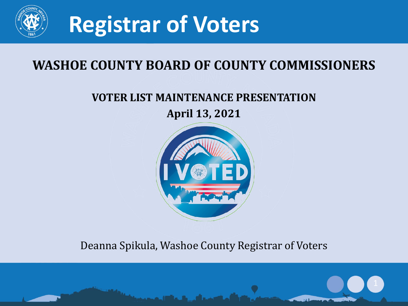

### **WASHOE COUNTY BOARD OF COUNTY COMMISSIONERS**

### **VOTER LIST MAINTENANCE PRESENTATION**

**April 13, 2021**



#### Deanna Spikula, Washoe County Registrar of Voters

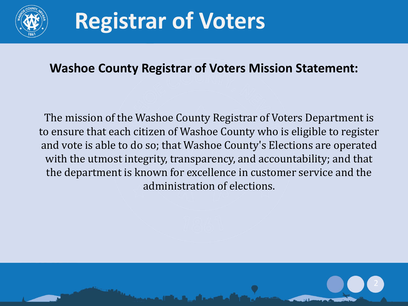

#### **Washoe County Registrar of Voters Mission Statement:**

The mission of the Washoe County Registrar of Voters Department is to ensure that each citizen of Washoe County who is eligible to register and vote is able to do so; that Washoe County's Elections are operated with the utmost integrity, transparency, and accountability; and that the department is known for excellence in customer service and the administration of elections.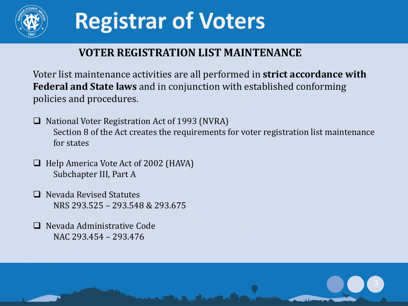

### **VOTER REGISTRATION LIST MAINTENANCE**

Voter list maintenance activities are all performed in **strict accordance with Federal and State laws** and in conjunction with established conforming policies and procedures.

- $\Box$  National Voter Registration Act of 1993 (NVRA) Section 8 of the Act creates the requirements for voter registration list maintenance for states
- $\Box$  Help America Vote Act of 2002 (HAVA) Subchapter III, Part A
- □ Nevada Revised Statutes NRS 293.525 – 293.548 & 293.675
- □ Nevada Administrative Code NAC 293.454 – 293.476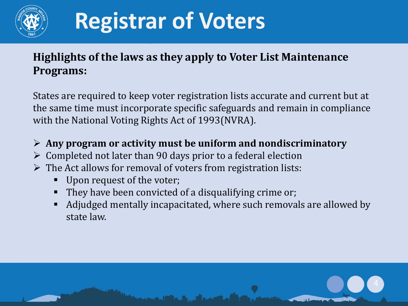

### **Highlights of the laws as they apply to Voter List Maintenance Programs:**

States are required to keep voter registration lists accurate and current but at the same time must incorporate specific safeguards and remain in compliance with the National Voting Rights Act of 1993(NVRA).

- **Any program or activity must be uniform and nondiscriminatory**
- $\triangleright$  Completed not later than 90 days prior to a federal election
- $\triangleright$  The Act allows for removal of voters from registration lists:
	- Upon request of the voter;
	- They have been convicted of a disqualifying crime or;
	- Adjudged mentally incapacitated, where such removals are allowed by state law.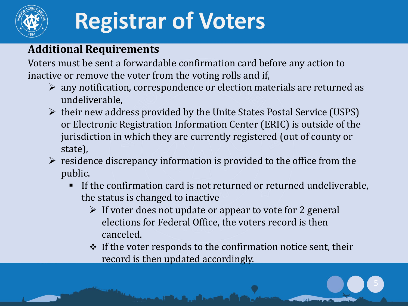

### **Additional Requirements**

Voters must be sent a forwardable confirmation card before any action to inactive or remove the voter from the voting rolls and if,

- $\triangleright$  any notification, correspondence or election materials are returned as undeliverable,
- $\triangleright$  their new address provided by the Unite States Postal Service (USPS) or Electronic Registration Information Center (ERIC) is outside of the jurisdiction in which they are currently registered (out of county or state),
- $\triangleright$  residence discrepancy information is provided to the office from the public.
	- If the confirmation card is not returned or returned undeliverable, the status is changed to inactive
		- $\triangleright$  If voter does not update or appear to vote for 2 general elections for Federal Office, the voters record is then canceled.
		- $\cdot$  If the voter responds to the confirmation notice sent, their record is then updated accordingly.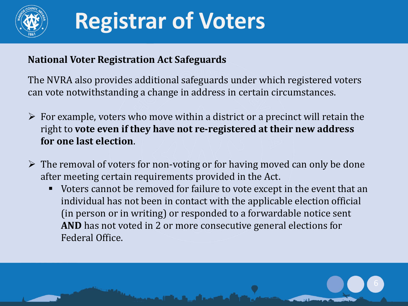

#### **National Voter Registration Act Safeguards**

The NVRA also provides additional safeguards under which registered voters can vote notwithstanding a change in address in certain circumstances.

- $\triangleright$  For example, voters who move within a district or a precinct will retain the right to **vote even if they have not re-registered at their new address for one last election**.
- $\triangleright$  The removal of voters for non-voting or for having moved can only be done after meeting certain requirements provided in the Act.
	- Voters cannot be removed for failure to vote except in the event that an individual has not been in contact with the applicable election official (in person or in writing) or responded to a forwardable notice sent **AND** has not voted in 2 or more consecutive general elections for Federal Office.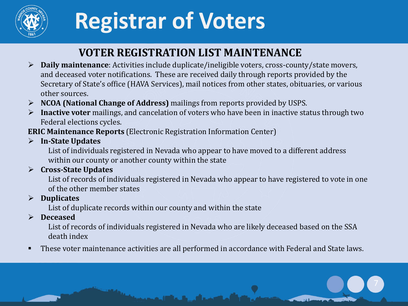

### **VOTER REGISTRATION LIST MAINTENANCE**

- **Daily maintenance**: Activities include duplicate/ineligible voters, cross-county/state movers, and deceased voter notifications. These are received daily through reports provided by the Secretary of State's office (HAVA Services), mail notices from other states, obituaries, or various other sources.
- **NCOA (National Change of Address)** mailings from reports provided by USPS.
- **Inactive voter** mailings, and cancelation of voters who have been in inactive status through two Federal elections cycles.
- **ERIC Maintenance Reports** (Electronic Registration Information Center)
- **In-State Updates** 
	- List of individuals registered in Nevada who appear to have moved to a different address within our county or another county within the state
- **Cross-State Updates**
	- List of records of individuals registered in Nevada who appear to have registered to vote in one of the other member states
- **Duplicates**
	- List of duplicate records within our county and within the state

#### **Deceased**

- List of records of individuals registered in Nevada who are likely deceased based on the SSA death index
- **These voter maintenance activities are all performed in accordance with Federal and State laws.**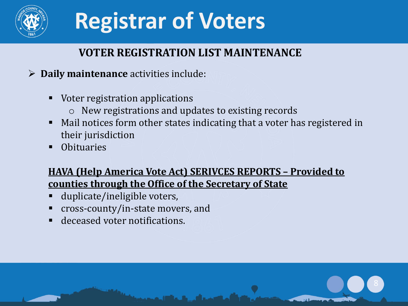

### **VOTER REGISTRATION LIST MAINTENANCE**

#### **Daily maintenance** activities include:

- Voter registration applications
	- o New registrations and updates to existing records
- Mail notices form other states indicating that a voter has registered in their jurisdiction
- **Obituaries**

#### **HAVA (Help America Vote Act) SERIVCES REPORTS – Provided to counties through the Office of the Secretary of State**

- duplicate/ineligible voters,
- cross-county/in-state movers, and
- deceased voter notifications.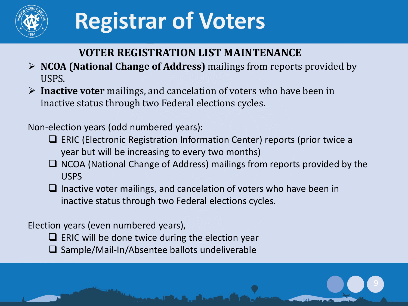

### **VOTER REGISTRATION LIST MAINTENANCE**

- **NCOA (National Change of Address)** mailings from reports provided by USPS.
- **Inactive voter** mailings, and cancelation of voters who have been in inactive status through two Federal elections cycles.

Non-election years (odd numbered years):

- □ ERIC (Electronic Registration Information Center) reports (prior twice a year but will be increasing to every two months)
- $\Box$  NCOA (National Change of Address) mailings from reports provided by the USPS
- $\Box$  Inactive voter mailings, and cancelation of voters who have been in inactive status through two Federal elections cycles.

#### Election years (even numbered years),

- $\Box$  ERIC will be done twice during the election year
- $\square$  Sample/Mail-In/Absentee ballots undeliverable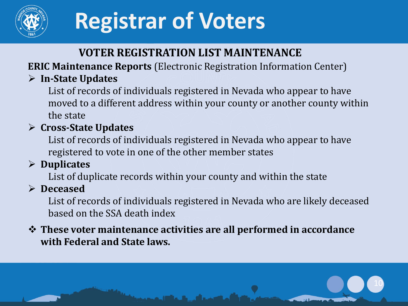

### **VOTER REGISTRATION LIST MAINTENANCE**

**ERIC Maintenance Reports** (Electronic Registration Information Center)

### **In-State Updates**

List of records of individuals registered in Nevada who appear to have moved to a different address within your county or another county within the state

### **Cross-State Updates**

List of records of individuals registered in Nevada who appear to have registered to vote in one of the other member states

### **Duplicates**

List of duplicate records within your county and within the state

#### **Deceased**

List of records of individuals registered in Nevada who are likely deceased based on the SSA death index

10

#### **These voter maintenance activities are all performed in accordance with Federal and State laws.**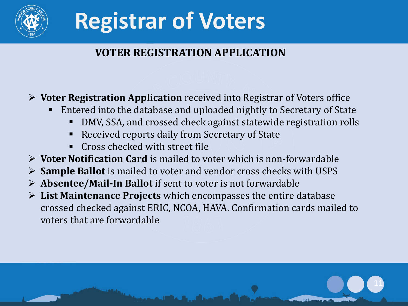

### **VOTER REGISTRATION APPLICATION**

#### **Voter Registration Application** received into Registrar of Voters office

- Entered into the database and uploaded nightly to Secretary of State
	- DMV, SSA, and crossed check against statewide registration rolls

11

- Received reports daily from Secretary of State
- Cross checked with street file
- **Voter Notification Card** is mailed to voter which is non-forwardable
- **Sample Ballot** is mailed to voter and vendor cross checks with USPS
- **Absentee/Mail-In Ballot** if sent to voter is not forwardable
- **List Maintenance Projects** which encompasses the entire database crossed checked against ERIC, NCOA, HAVA. Confirmation cards mailed to voters that are forwardable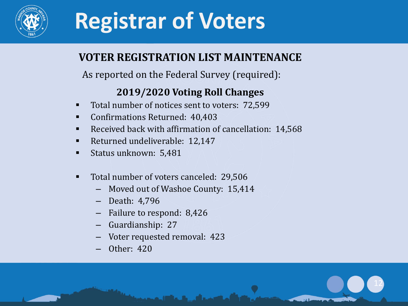

### **VOTER REGISTRATION LIST MAINTENANCE**

As reported on the Federal Survey (required):

#### **2019/2020 Voting Roll Changes**

- Total number of notices sent to voters: 72,599
- Confirmations Returned: 40,403
- Received back with affirmation of cancellation: 14,568

12

- Returned undeliverable: 12,147
- Status unknown: 5,481
- Total number of voters canceled: 29,506
	- Moved out of Washoe County: 15,414
	- Death: 4,796
	- Failure to respond: 8,426
	- Guardianship: 27
	- Voter requested removal: 423
	- Other: 420